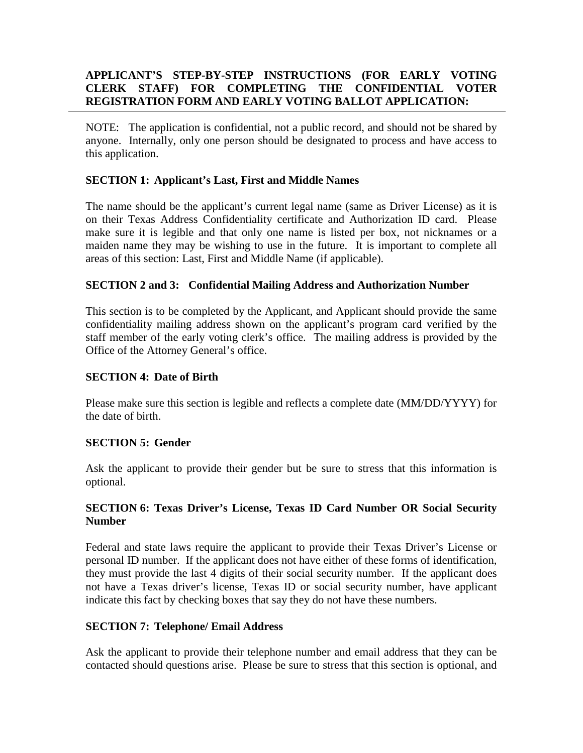## **APPLICANT'S STEP-BY-STEP INSTRUCTIONS (FOR EARLY VOTING CLERK STAFF) FOR COMPLETING THE CONFIDENTIAL VOTER REGISTRATION FORM AND EARLY VOTING BALLOT APPLICATION:**

NOTE: The application is confidential, not a public record, and should not be shared by anyone. Internally, only one person should be designated to process and have access to this application.

### **SECTION 1: Applicant's Last, First and Middle Names**

The name should be the applicant's current legal name (same as Driver License) as it is on their Texas Address Confidentiality certificate and Authorization ID card. Please make sure it is legible and that only one name is listed per box, not nicknames or a maiden name they may be wishing to use in the future. It is important to complete all areas of this section: Last, First and Middle Name (if applicable).

### **SECTION 2 and 3: Confidential Mailing Address and Authorization Number**

This section is to be completed by the Applicant, and Applicant should provide the same confidentiality mailing address shown on the applicant's program card verified by the staff member of the early voting clerk's office. The mailing address is provided by the Office of the Attorney General's office.

#### **SECTION 4: Date of Birth**

Please make sure this section is legible and reflects a complete date (MM/DD/YYYY) for the date of birth.

#### **SECTION 5: Gender**

Ask the applicant to provide their gender but be sure to stress that this information is optional.

#### **SECTION 6: Texas Driver's License, Texas ID Card Number OR Social Security Number**

Federal and state laws require the applicant to provide their Texas Driver's License or personal ID number. If the applicant does not have either of these forms of identification, they must provide the last 4 digits of their social security number. If the applicant does not have a Texas driver's license, Texas ID or social security number, have applicant indicate this fact by checking boxes that say they do not have these numbers.

#### **SECTION 7: Telephone/ Email Address**

Ask the applicant to provide their telephone number and email address that they can be contacted should questions arise. Please be sure to stress that this section is optional, and